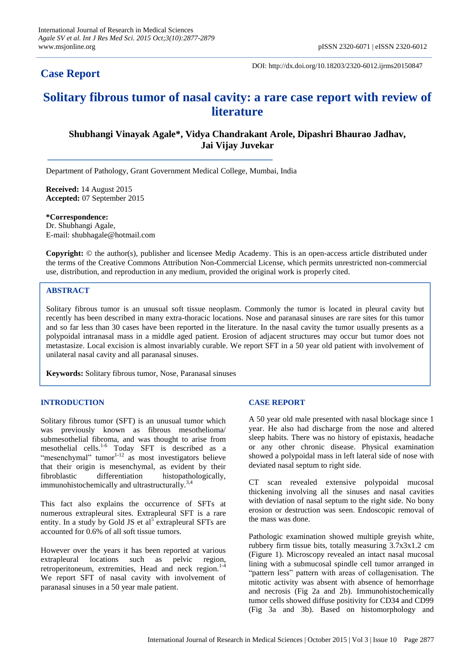# **Case Report**

DOI: http://dx.doi.org/10.18203/2320-6012.ijrms20150847

# **Solitary fibrous tumor of nasal cavity: a rare case report with review of literature**

## **Shubhangi Vinayak Agale\*, Vidya Chandrakant Arole, Dipashri Bhaurao Jadhav, Jai Vijay Juvekar**

Department of Pathology, Grant Government Medical College, Mumbai, India

**Received:** 14 August 2015 **Accepted:** 07 September 2015

**\*Correspondence:** Dr. Shubhangi Agale, E-mail: shubhagale@hotmail.com

**Copyright:** © the author(s), publisher and licensee Medip Academy. This is an open-access article distributed under the terms of the Creative Commons Attribution Non-Commercial License, which permits unrestricted non-commercial use, distribution, and reproduction in any medium, provided the original work is properly cited.

#### **ABSTRACT**

Solitary fibrous tumor is an unusual soft tissue neoplasm. Commonly the tumor is located in pleural cavity but recently has been described in many extra-thoracic locations. Nose and paranasal sinuses are rare sites for this tumor and so far less than 30 cases have been reported in the literature. In the nasal cavity the tumor usually presents as a polypoidal intranasal mass in a middle aged patient. Erosion of adjacent structures may occur but tumor does not metastasize. Local excision is almost invariably curable. We report SFT in a 50 year old patient with involvement of unilateral nasal cavity and all paranasal sinuses.

**Keywords:** Solitary fibrous tumor, Nose, Paranasal sinuses

#### **INTRODUCTION**

Solitary fibrous tumor (SFT) is an unusual tumor which was previously known as fibrous mesothelioma/ submesothelial fibroma, and was thought to arise from mesothelial cells.<sup>1-6</sup> Today SFT is described as a "mesenchymal" tumor $1-12$  as most investigators believe that their origin is mesenchymal, as evident by their fibroblastic differentiation histopathologically, immunohistochemically and ultrastructurally.<sup>3,4</sup>

This fact also explains the occurrence of SFTs at numerous extrapleural sites. Extrapleural SFT is a rare entity. In a study by Gold JS et al<sup>5</sup> extrapleural SFTs are accounted for 0.6% of all soft tissue tumors.

However over the years it has been reported at various extrapleural locations such as pelvic region, retroperitoneum, extremities, Head and neck region.<sup>1-4</sup> We report SFT of nasal cavity with involvement of paranasal sinuses in a 50 year male patient.

#### **CASE REPORT**

A 50 year old male presented with nasal blockage since 1 year. He also had discharge from the nose and altered sleep habits. There was no history of epistaxis, headache or any other chronic disease. Physical examination showed a polypoidal mass in left lateral side of nose with deviated nasal septum to right side.

CT scan revealed extensive polypoidal mucosal thickening involving all the sinuses and nasal cavities with deviation of nasal septum to the right side. No bony erosion or destruction was seen. Endoscopic removal of the mass was done.

Pathologic examination showed multiple greyish white, rubbery firm tissue bits, totally measuring 3.7x3x1.2 cm (Figure 1). Microscopy revealed an intact nasal mucosal lining with a submucosal spindle cell tumor arranged in "pattern less" pattern with areas of collagenisation. The mitotic activity was absent with absence of hemorrhage and necrosis (Fig 2a and 2b). Immunohistochemically tumor cells showed diffuse positivity for CD34 and CD99 (Fig 3a and 3b). Based on histomorphology and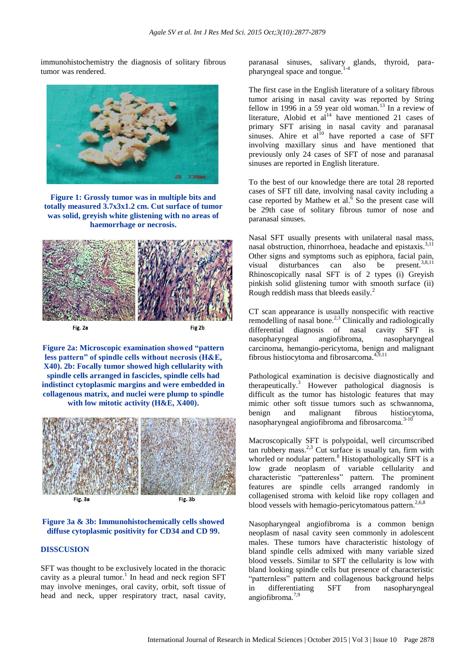immunohistochemistry the diagnosis of solitary fibrous tumor was rendered.



**Figure 1: Grossly tumor was in multiple bits and totally measured 3.7x3x1.2 cm. Cut surface of tumor was solid, greyish white glistening with no areas of haemorrhage or necrosis.**



Fig. 2a

Fig 2b

**Figure 2a: Microscopic examination showed "pattern less pattern" of spindle cells without necrosis (H&E, X40). 2b: Focally tumor showed high cellularity with spindle cells arranged in fascicles, spindle cells had indistinct cytoplasmic margins and were embedded in collagenous matrix, and nuclei were plump to spindle with low mitotic activity (H&E, X400).**



#### **Figure 3a & 3b: Immunohistochemically cells showed diffuse cytoplasmic positivity for CD34 and CD 99.**

### **DISSCUSION**

SFT was thought to be exclusively located in the thoracic cavity as a pleural tumor.<sup>1</sup> In head and neck region SFT may involve meninges, oral cavity, orbit, soft tissue of head and neck, upper respiratory tract, nasal cavity,

paranasal sinuses, salivary glands, thyroid, parapharyngeal space and tongue.1-4

The first case in the English literature of a solitary fibrous tumor arising in nasal cavity was reported by String fellow in 1996 in a 59 year old woman.<sup>13</sup> In a review of literature, Alobid et  $al<sup>14</sup>$  have mentioned 21 cases of primary SFT arising in nasal cavity and paranasal sinuses. Ahire et  $aI^{10}$  have reported a case of SFT involving maxillary sinus and have mentioned that previously only 24 cases of SFT of nose and paranasal sinuses are reported in English literature.

To the best of our knowledge there are total 28 reported cases of SFT till date, involving nasal cavity including a case reported by Mathew et al. $\overline{6}$  So the present case will be 29th case of solitary fibrous tumor of nose and paranasal sinuses.

Nasal SFT usually presents with unilateral nasal mass, nasal obstruction, rhinorrhoea, headache and epistaxis.<sup>3,11</sup> Other signs and symptoms such as epiphora, facial pain, visual disturbances can also be present.<sup>3,8,11</sup> Rhinoscopically nasal SFT is of 2 types (i) Greyish pinkish solid glistening tumor with smooth surface (ii) Rough reddish mass that bleeds easily.<sup>2</sup>

CT scan appearance is usually nonspecific with reactive remodelling of nasal bone.<sup>2,3</sup> Clinically and radiologically differential diagnosis of nasal cavity SFT is nasopharyngeal angiofibroma, nasopharyngeal carcinoma, hemangio-pericytoma, benign and malignant fibrous histiocytoma and fibrosarcoma. $4,9,11$ 

Pathological examination is decisive diagnostically and therapeutically.<sup>3</sup> However pathological diagnosis is difficult as the tumor has histologic features that may mimic other soft tissue tumors such as schwannoma, benign and malignant fibrous histiocytoma, nasopharyngeal angiofibroma and fibrosarcoma.<sup>3-10</sup>

Macroscopically SFT is polypoidal, well circumscribed tan rubbery mass.<sup>2,3</sup> Cut surface is usually tan, firm with whorled or nodular pattern.<sup>8</sup> Histopathologically SFT is a low grade neoplasm of variable cellularity and characteristic "patterenless" pattern. The prominent features are spindle cells arranged randomly in collagenised stroma with keloid like ropy collagen and blood vessels with hemagio-pericytomatous pattern.<sup>2,6,8</sup>

Nasopharyngeal angiofibroma is a common benign neoplasm of nasal cavity seen commonly in adolescent males. These tumors have characteristic histology of bland spindle cells admixed with many variable sized blood vessels. Similar to SFT the cellularity is low with bland looking spindle cells but presence of characteristic "patternless" pattern and collagenous background helps in differentiating SFT from nasopharyngeal angiofibroma. $7,9$